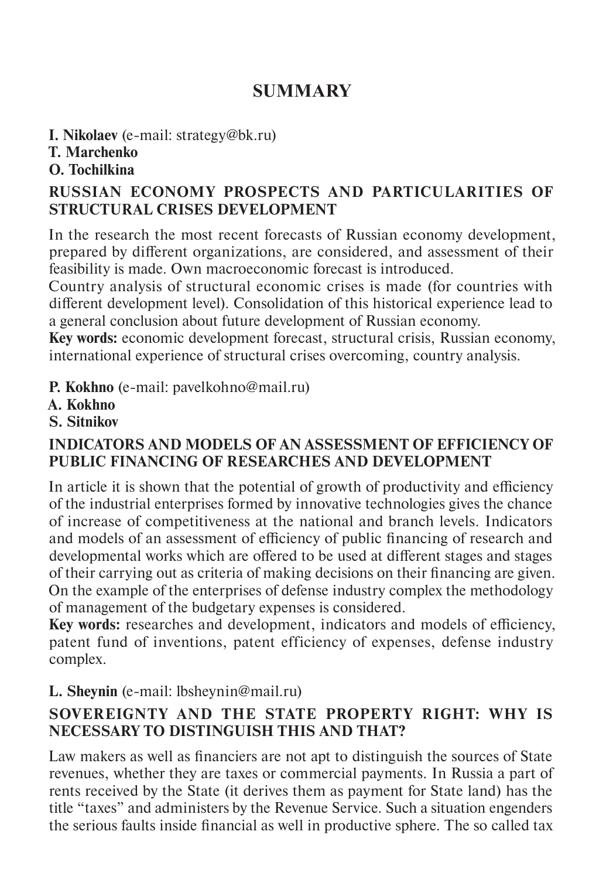# **SUMMARY**

**I. Nikolaev** (e-mail: strategy@bk.ru)

# **T. Marchenko**

#### **O. Tochilkina**

### **RUSSIAN ECONOMY PROSPECTS AND PARTICULARITIES OF STRUCTURAL CRISES DEVELOPMENT**

In the research the most recent forecasts of Russian economy development, prepared by different organizations, are considered, and assessment of their feasibility is made. Own macroeconomic forecast is introduced.

Country analysis of structural economic crises is made (for countries with different development level). Consolidation of this historical experience lead to a general conclusion about future development of Russian economy.

**Key words:** economic development forecast, structural crisis, Russian economy, international experience of structural crises overcoming, country analysis.

**P. Kokhno** (e-mail: pavelkohno@mail.ru)

- **A. Kokhno**
- **S. Sitnikov**

#### **INDICATORS AND MODELS OF AN ASSESSMENT OF EFFICIENCY OF PUBLIC FINANCING OF RESEARCHES AND DEVELOPMENT**

In article it is shown that the potential of growth of productivity and efficiency of the industrial enterprises formed by innovative technologies gives the chance of increase of competitiveness at the national and branch levels. Indicators and models of an assessment of efficiency of public financing of research and developmental works which are offered to be used at different stages and stages of their carrying out as criteria of making decisions on their financing are given. On the example of the enterprises of defense industry complex the methodology of management of the budgetary expenses is considered.

**Key words:** researches and development, indicators and models of efficiency, patent fund of inventions, patent efficiency of expenses, defense industry complex.

### **L. Sheynin** (e-mail: lbsheynin@mail.ru)

### **SOVEREIGNTY AND THE STATE PROPERTY RIGHT: WHY IS NECESSARY TO DISTINGUISH THIS AND THAT?**

Law makers as well as financiers are not apt to distinguish the sources of State revenues, whether they are taxes or commercial payments. In Russia a part of rents received by the State (it derives them as payment for State land) has the title "taxes" and administers by the Revenue Service. Such a situation engenders the serious faults inside financial as well in productive sphere. The so called tax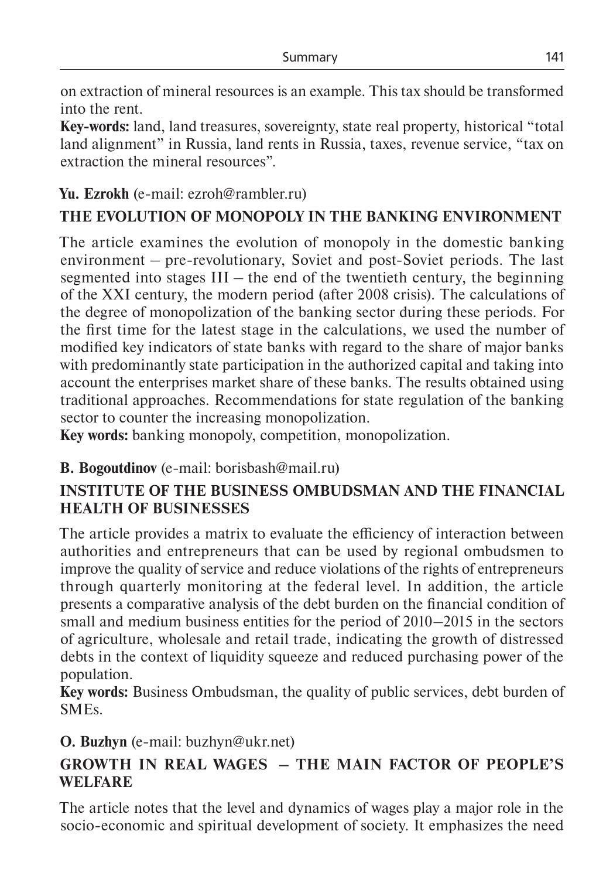on extraction of mineral resources is an example. This tax should be transformed into the rent.

**Key-words:** land, land treasures, sovereignty, state real property, historical "total land alignment" in Russia, land rents in Russia, taxes, revenue service, "tax on extraction the mineral resources".

### **Yu. Ezrokh** (e-mail: ezroh@rambler.ru)

# **THE EVOLUTION OF MONOPOLY IN THE BANKING ENVIRONMENT**

The article examines the evolution of monopoly in the domestic banking environment – pre-revolutionary, Soviet and post-Soviet periods. The last segmented into stages  $III -$  the end of the twentieth century, the beginning of the XXI century, the modern period (after 2008 crisis). The calculations of the degree of monopolization of the banking sector during these periods. For the first time for the latest stage in the calculations, we used the number of modified key indicators of state banks with regard to the share of major banks with predominantly state participation in the authorized capital and taking into account the enterprises market share of these banks. The results obtained using traditional approaches. Recommendations for state regulation of the banking sector to counter the increasing monopolization.

**Key words:** banking monopoly, competition, monopolization.

### **B. Bogoutdinov** (e-mail: borisbash@mail.ru)

### **INSTITUTE OF THE BUSINESS OMBUDSMAN AND THE FINANCIAL HEALTH OF BUSINESSES**

The article provides a matrix to evaluate the efficiency of interaction between authorities and entrepreneurs that can be used by regional ombudsmen to improve the quality of service and reduce violations of the rights of entrepreneurs through quarterly monitoring at the federal level. In addition, the article presents a comparative analysis of the debt burden on the financial condition of small and medium business entities for the period of 2010–2015 in the sectors of agriculture, wholesale and retail trade, indicating the growth of distressed debts in the context of liquidity squeeze and reduced purchasing power of the population.

**Key words:** Business Ombudsman, the quality of public services, debt burden of SMEs.

### **O. Buzhyn** (e-mail: buzhyn@ukr.net)

### **GROWTH IN REAL WAGES – THE MAIN FACTOR OF PEOPLE'S WELFARE**

The article notes that the level and dynamics of wages play a major role in the socio-economic and spiritual development of society. It emphasizes the need